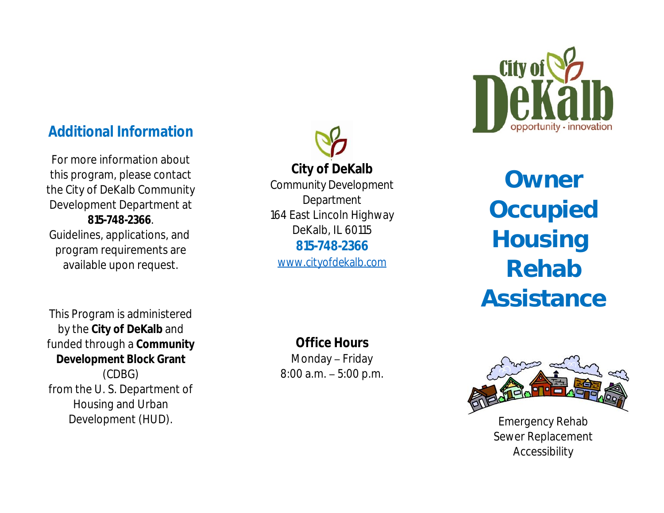# *Additional Information*

For more information about this program, please contact the City of DeKalb Community Development Department at **815-748-2366**. Guidelines, applications, and program requirements are available upon request.

This Program is administered by the **City of DeKalb** and funded through a **Community Development Block Grant** (CDBG) from the U. S. Department of Housing and Urban Development (HUD).

**City of DeKalb**

Community Development Department 164 East Lincoln Highway DeKalb, IL 60115 **815-748-2366**

*www.cityofdekalb.com*

**Owner Occupied Housing Rehab** As:

# **Office Hours**

Monday – Friday 8:00 a.m. – 5:00 p.m.



<u>Em</u> Sew